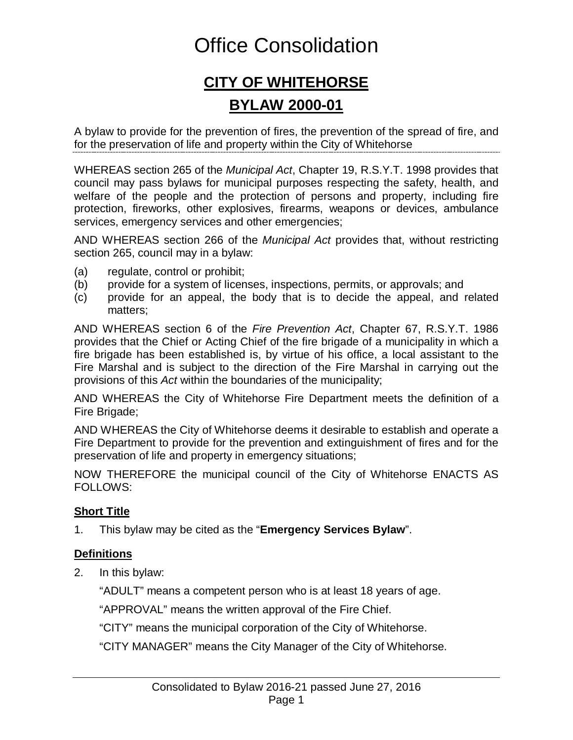# Office Consolidation

## **CITY OF WHITEHORSE BYLAW 2000-01**

A bylaw to provide for the prevention of fires, the prevention of the spread of fire, and for the preservation of life and property within the City of Whitehorse

WHEREAS section 265 of the *Municipal Act*, Chapter 19, R.S.Y.T. 1998 provides that council may pass bylaws for municipal purposes respecting the safety, health, and welfare of the people and the protection of persons and property, including fire protection, fireworks, other explosives, firearms, weapons or devices, ambulance services, emergency services and other emergencies;

AND WHEREAS section 266 of the *Municipal Act* provides that, without restricting section 265, council may in a bylaw:

- (a) regulate, control or prohibit;
- (b) provide for a system of licenses, inspections, permits, or approvals; and
- (c) provide for an appeal, the body that is to decide the appeal, and related matters;

AND WHEREAS section 6 of the *Fire Prevention Act*, Chapter 67, R.S.Y.T. 1986 provides that the Chief or Acting Chief of the fire brigade of a municipality in which a fire brigade has been established is, by virtue of his office, a local assistant to the Fire Marshal and is subject to the direction of the Fire Marshal in carrying out the provisions of this *Act* within the boundaries of the municipality;

AND WHEREAS the City of Whitehorse Fire Department meets the definition of a Fire Brigade;

AND WHEREAS the City of Whitehorse deems it desirable to establish and operate a Fire Department to provide for the prevention and extinguishment of fires and for the preservation of life and property in emergency situations;

NOW THEREFORE the municipal council of the City of Whitehorse ENACTS AS FOLLOWS:

### **Short Title**

1. This bylaw may be cited as the "**Emergency Services Bylaw**".

### **Definitions**

2. In this bylaw:

"ADULT" means a competent person who is at least 18 years of age.

"APPROVAL" means the written approval of the Fire Chief.

"CITY" means the municipal corporation of the City of Whitehorse.

"CITY MANAGER" means the City Manager of the City of Whitehorse.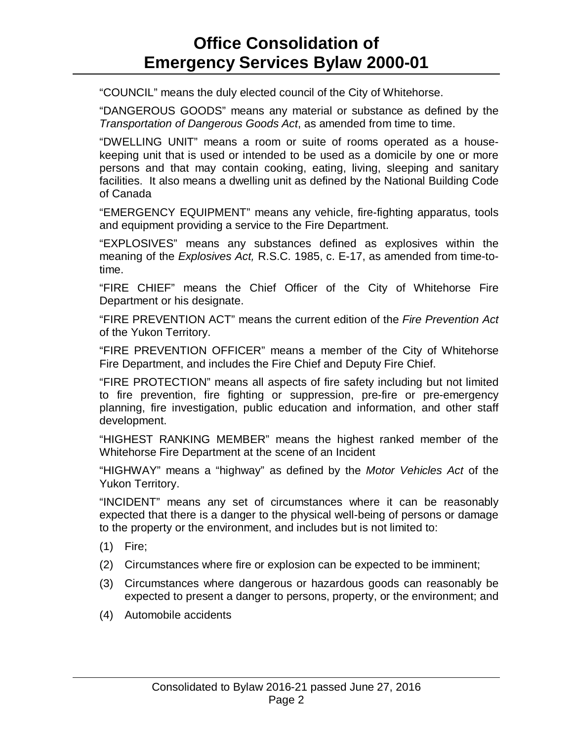"COUNCIL" means the duly elected council of the City of Whitehorse.

"DANGEROUS GOODS" means any material or substance as defined by the *Transportation of Dangerous Goods Act*, as amended from time to time.

"DWELLING UNIT" means a room or suite of rooms operated as a housekeeping unit that is used or intended to be used as a domicile by one or more persons and that may contain cooking, eating, living, sleeping and sanitary facilities. It also means a dwelling unit as defined by the National Building Code of Canada

"EMERGENCY EQUIPMENT" means any vehicle, fire-fighting apparatus, tools and equipment providing a service to the Fire Department.

"EXPLOSIVES" means any substances defined as explosives within the meaning of the *Explosives Act,* R.S.C. 1985, c. E-17, as amended from time-totime.

"FIRE CHIEF" means the Chief Officer of the City of Whitehorse Fire Department or his designate.

"FIRE PREVENTION ACT" means the current edition of the *Fire Prevention Act* of the Yukon Territory.

"FIRE PREVENTION OFFICER" means a member of the City of Whitehorse Fire Department, and includes the Fire Chief and Deputy Fire Chief.

"FIRE PROTECTION" means all aspects of fire safety including but not limited to fire prevention, fire fighting or suppression, pre-fire or pre-emergency planning, fire investigation, public education and information, and other staff development.

"HIGHEST RANKING MEMBER" means the highest ranked member of the Whitehorse Fire Department at the scene of an Incident

"HIGHWAY" means a "highway" as defined by the *Motor Vehicles Act* of the Yukon Territory.

"INCIDENT" means any set of circumstances where it can be reasonably expected that there is a danger to the physical well-being of persons or damage to the property or the environment, and includes but is not limited to:

- (1) Fire;
- (2) Circumstances where fire or explosion can be expected to be imminent;
- (3) Circumstances where dangerous or hazardous goods can reasonably be expected to present a danger to persons, property, or the environment; and
- (4) Automobile accidents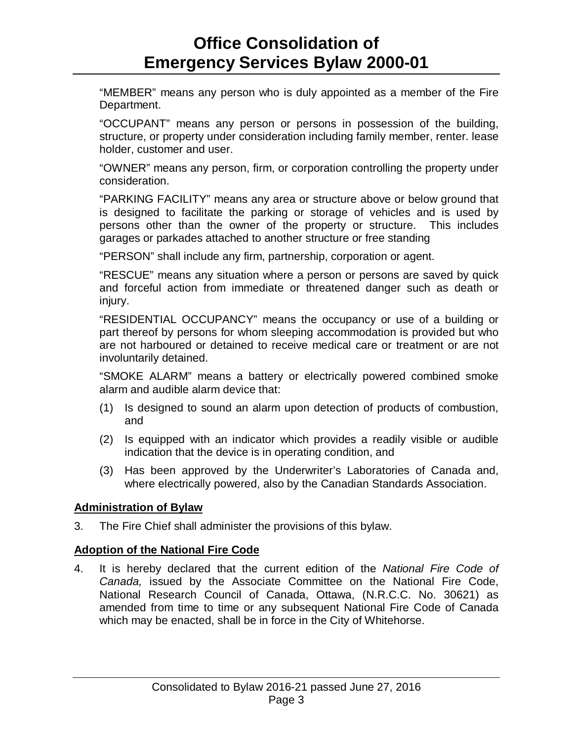"MEMBER" means any person who is duly appointed as a member of the Fire Department.

"OCCUPANT" means any person or persons in possession of the building, structure, or property under consideration including family member, renter. lease holder, customer and user.

"OWNER" means any person, firm, or corporation controlling the property under consideration.

"PARKING FACILITY" means any area or structure above or below ground that is designed to facilitate the parking or storage of vehicles and is used by persons other than the owner of the property or structure. This includes garages or parkades attached to another structure or free standing

"PERSON" shall include any firm, partnership, corporation or agent.

"RESCUE" means any situation where a person or persons are saved by quick and forceful action from immediate or threatened danger such as death or injury.

"RESIDENTIAL OCCUPANCY" means the occupancy or use of a building or part thereof by persons for whom sleeping accommodation is provided but who are not harboured or detained to receive medical care or treatment or are not involuntarily detained.

"SMOKE ALARM" means a battery or electrically powered combined smoke alarm and audible alarm device that:

- (1) Is designed to sound an alarm upon detection of products of combustion, and
- (2) Is equipped with an indicator which provides a readily visible or audible indication that the device is in operating condition, and
- (3) Has been approved by the Underwriter's Laboratories of Canada and, where electrically powered, also by the Canadian Standards Association.

### **Administration of Bylaw**

3. The Fire Chief shall administer the provisions of this bylaw.

### **Adoption of the National Fire Code**

4. It is hereby declared that the current edition of the *National Fire Code of Canada,* issued by the Associate Committee on the National Fire Code, National Research Council of Canada, Ottawa, (N.R.C.C. No. 30621) as amended from time to time or any subsequent National Fire Code of Canada which may be enacted, shall be in force in the City of Whitehorse.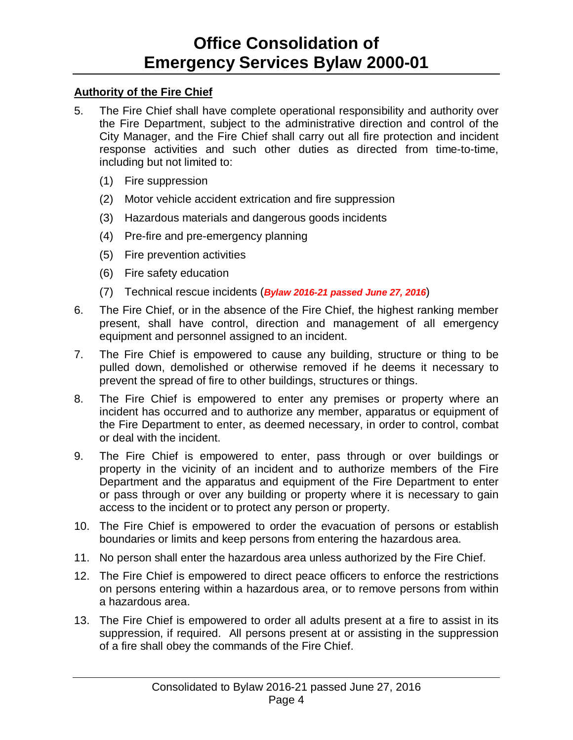### **Authority of the Fire Chief**

- 5. The Fire Chief shall have complete operational responsibility and authority over the Fire Department, subject to the administrative direction and control of the City Manager, and the Fire Chief shall carry out all fire protection and incident response activities and such other duties as directed from time-to-time, including but not limited to:
	- (1) Fire suppression
	- (2) Motor vehicle accident extrication and fire suppression
	- (3) Hazardous materials and dangerous goods incidents
	- (4) Pre-fire and pre-emergency planning
	- (5) Fire prevention activities
	- (6) Fire safety education
	- (7) Technical rescue incidents (*Bylaw 2016-21 passed June 27, 2016*)
- 6. The Fire Chief, or in the absence of the Fire Chief, the highest ranking member present, shall have control, direction and management of all emergency equipment and personnel assigned to an incident.
- 7. The Fire Chief is empowered to cause any building, structure or thing to be pulled down, demolished or otherwise removed if he deems it necessary to prevent the spread of fire to other buildings, structures or things.
- 8. The Fire Chief is empowered to enter any premises or property where an incident has occurred and to authorize any member, apparatus or equipment of the Fire Department to enter, as deemed necessary, in order to control, combat or deal with the incident.
- 9. The Fire Chief is empowered to enter, pass through or over buildings or property in the vicinity of an incident and to authorize members of the Fire Department and the apparatus and equipment of the Fire Department to enter or pass through or over any building or property where it is necessary to gain access to the incident or to protect any person or property.
- 10. The Fire Chief is empowered to order the evacuation of persons or establish boundaries or limits and keep persons from entering the hazardous area.
- 11. No person shall enter the hazardous area unless authorized by the Fire Chief.
- 12. The Fire Chief is empowered to direct peace officers to enforce the restrictions on persons entering within a hazardous area, or to remove persons from within a hazardous area.
- 13. The Fire Chief is empowered to order all adults present at a fire to assist in its suppression, if required. All persons present at or assisting in the suppression of a fire shall obey the commands of the Fire Chief.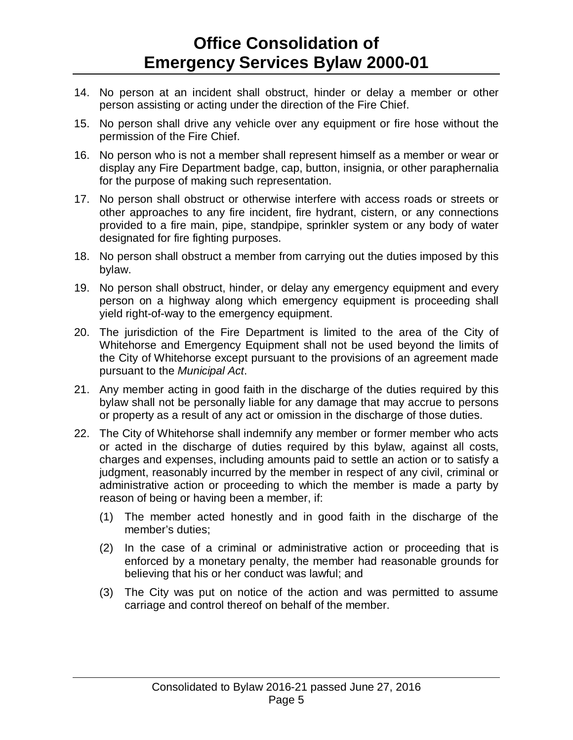- 14. No person at an incident shall obstruct, hinder or delay a member or other person assisting or acting under the direction of the Fire Chief.
- 15. No person shall drive any vehicle over any equipment or fire hose without the permission of the Fire Chief.
- 16. No person who is not a member shall represent himself as a member or wear or display any Fire Department badge, cap, button, insignia, or other paraphernalia for the purpose of making such representation.
- 17. No person shall obstruct or otherwise interfere with access roads or streets or other approaches to any fire incident, fire hydrant, cistern, or any connections provided to a fire main, pipe, standpipe, sprinkler system or any body of water designated for fire fighting purposes.
- 18. No person shall obstruct a member from carrying out the duties imposed by this bylaw.
- 19. No person shall obstruct, hinder, or delay any emergency equipment and every person on a highway along which emergency equipment is proceeding shall yield right-of-way to the emergency equipment.
- 20. The jurisdiction of the Fire Department is limited to the area of the City of Whitehorse and Emergency Equipment shall not be used beyond the limits of the City of Whitehorse except pursuant to the provisions of an agreement made pursuant to the *Municipal Act*.
- 21. Any member acting in good faith in the discharge of the duties required by this bylaw shall not be personally liable for any damage that may accrue to persons or property as a result of any act or omission in the discharge of those duties.
- 22. The City of Whitehorse shall indemnify any member or former member who acts or acted in the discharge of duties required by this bylaw, against all costs, charges and expenses, including amounts paid to settle an action or to satisfy a judgment, reasonably incurred by the member in respect of any civil, criminal or administrative action or proceeding to which the member is made a party by reason of being or having been a member, if:
	- (1) The member acted honestly and in good faith in the discharge of the member's duties;
	- (2) In the case of a criminal or administrative action or proceeding that is enforced by a monetary penalty, the member had reasonable grounds for believing that his or her conduct was lawful; and
	- (3) The City was put on notice of the action and was permitted to assume carriage and control thereof on behalf of the member.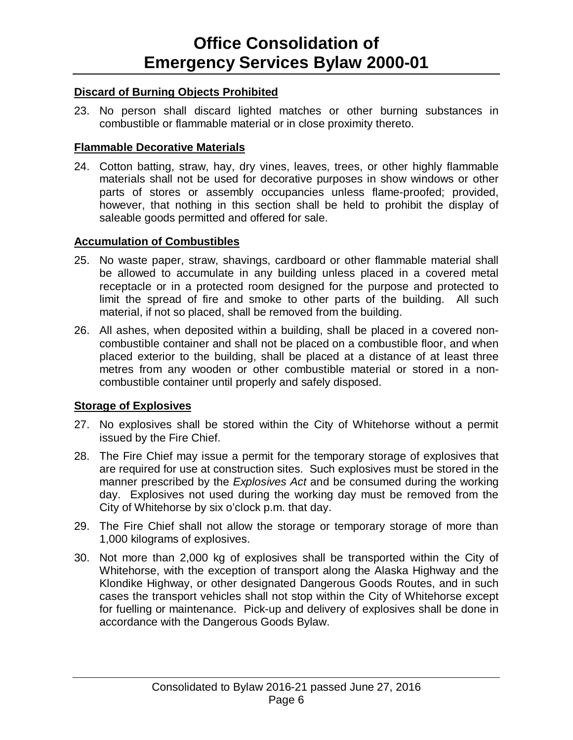### **Discard of Burning Objects Prohibited**

23. No person shall discard lighted matches or other burning substances in combustible or flammable material or in close proximity thereto.

### **Flammable Decorative Materials**

24. Cotton batting, straw, hay, dry vines, leaves, trees, or other highly flammable materials shall not be used for decorative purposes in show windows or other parts of stores or assembly occupancies unless flame-proofed; provided, however, that nothing in this section shall be held to prohibit the display of saleable goods permitted and offered for sale.

### **Accumulation of Combustibles**

- 25. No waste paper, straw, shavings, cardboard or other flammable material shall be allowed to accumulate in any building unless placed in a covered metal receptacle or in a protected room designed for the purpose and protected to limit the spread of fire and smoke to other parts of the building. All such material, if not so placed, shall be removed from the building.
- 26. All ashes, when deposited within a building, shall be placed in a covered noncombustible container and shall not be placed on a combustible floor, and when placed exterior to the building, shall be placed at a distance of at least three metres from any wooden or other combustible material or stored in a noncombustible container until properly and safely disposed.

### **Storage of Explosives**

- 27. No explosives shall be stored within the City of Whitehorse without a permit issued by the Fire Chief.
- 28. The Fire Chief may issue a permit for the temporary storage of explosives that are required for use at construction sites. Such explosives must be stored in the manner prescribed by the *Explosives Act* and be consumed during the working day. Explosives not used during the working day must be removed from the City of Whitehorse by six o'clock p.m. that day.
- 29. The Fire Chief shall not allow the storage or temporary storage of more than 1,000 kilograms of explosives.
- 30. Not more than 2,000 kg of explosives shall be transported within the City of Whitehorse, with the exception of transport along the Alaska Highway and the Klondike Highway, or other designated Dangerous Goods Routes, and in such cases the transport vehicles shall not stop within the City of Whitehorse except for fuelling or maintenance. Pick-up and delivery of explosives shall be done in accordance with the Dangerous Goods Bylaw.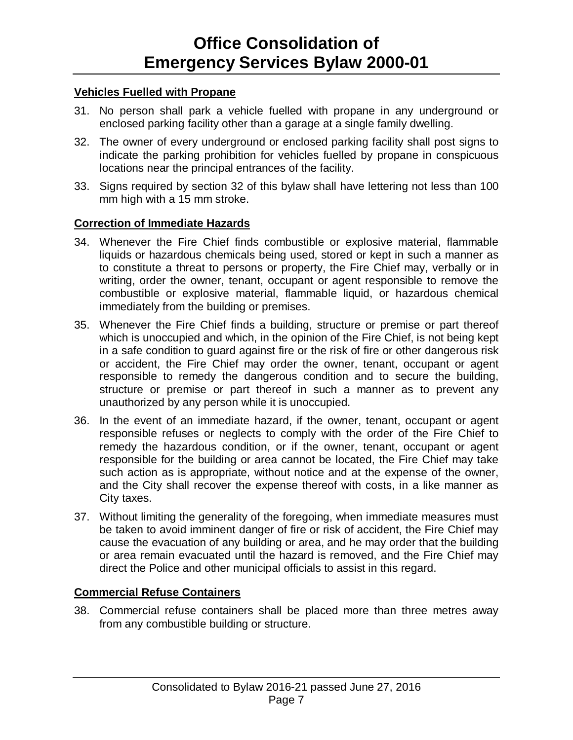#### **Vehicles Fuelled with Propane**

- 31. No person shall park a vehicle fuelled with propane in any underground or enclosed parking facility other than a garage at a single family dwelling.
- 32. The owner of every underground or enclosed parking facility shall post signs to indicate the parking prohibition for vehicles fuelled by propane in conspicuous locations near the principal entrances of the facility.
- 33. Signs required by section 32 of this bylaw shall have lettering not less than 100 mm high with a 15 mm stroke.

#### **Correction of Immediate Hazards**

- 34. Whenever the Fire Chief finds combustible or explosive material, flammable liquids or hazardous chemicals being used, stored or kept in such a manner as to constitute a threat to persons or property, the Fire Chief may, verbally or in writing, order the owner, tenant, occupant or agent responsible to remove the combustible or explosive material, flammable liquid, or hazardous chemical immediately from the building or premises.
- 35. Whenever the Fire Chief finds a building, structure or premise or part thereof which is unoccupied and which, in the opinion of the Fire Chief, is not being kept in a safe condition to guard against fire or the risk of fire or other dangerous risk or accident, the Fire Chief may order the owner, tenant, occupant or agent responsible to remedy the dangerous condition and to secure the building, structure or premise or part thereof in such a manner as to prevent any unauthorized by any person while it is unoccupied.
- 36. In the event of an immediate hazard, if the owner, tenant, occupant or agent responsible refuses or neglects to comply with the order of the Fire Chief to remedy the hazardous condition, or if the owner, tenant, occupant or agent responsible for the building or area cannot be located, the Fire Chief may take such action as is appropriate, without notice and at the expense of the owner, and the City shall recover the expense thereof with costs, in a like manner as City taxes.
- 37. Without limiting the generality of the foregoing, when immediate measures must be taken to avoid imminent danger of fire or risk of accident, the Fire Chief may cause the evacuation of any building or area, and he may order that the building or area remain evacuated until the hazard is removed, and the Fire Chief may direct the Police and other municipal officials to assist in this regard.

#### **Commercial Refuse Containers**

38. Commercial refuse containers shall be placed more than three metres away from any combustible building or structure.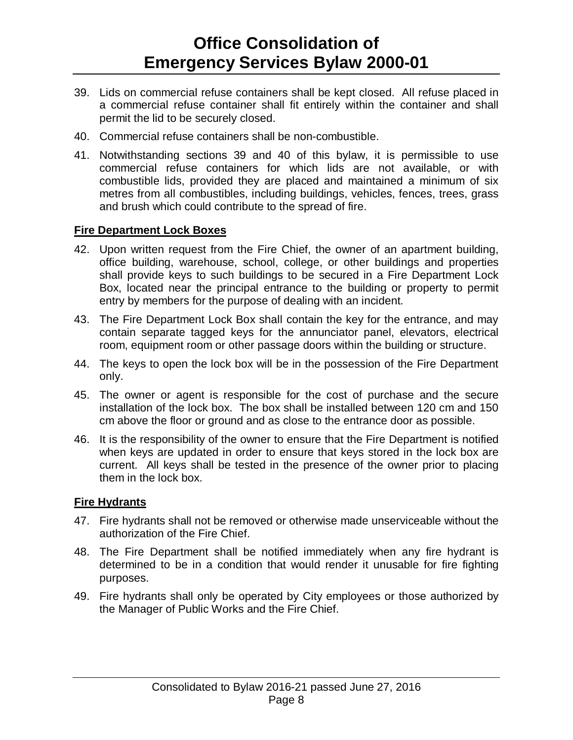- 39. Lids on commercial refuse containers shall be kept closed. All refuse placed in a commercial refuse container shall fit entirely within the container and shall permit the lid to be securely closed.
- 40. Commercial refuse containers shall be non-combustible.
- 41. Notwithstanding sections 39 and 40 of this bylaw, it is permissible to use commercial refuse containers for which lids are not available, or with combustible lids, provided they are placed and maintained a minimum of six metres from all combustibles, including buildings, vehicles, fences, trees, grass and brush which could contribute to the spread of fire.

### **Fire Department Lock Boxes**

- 42. Upon written request from the Fire Chief, the owner of an apartment building, office building, warehouse, school, college, or other buildings and properties shall provide keys to such buildings to be secured in a Fire Department Lock Box, located near the principal entrance to the building or property to permit entry by members for the purpose of dealing with an incident.
- 43. The Fire Department Lock Box shall contain the key for the entrance, and may contain separate tagged keys for the annunciator panel, elevators, electrical room, equipment room or other passage doors within the building or structure.
- 44. The keys to open the lock box will be in the possession of the Fire Department only.
- 45. The owner or agent is responsible for the cost of purchase and the secure installation of the lock box. The box shall be installed between 120 cm and 150 cm above the floor or ground and as close to the entrance door as possible.
- 46. It is the responsibility of the owner to ensure that the Fire Department is notified when keys are updated in order to ensure that keys stored in the lock box are current. All keys shall be tested in the presence of the owner prior to placing them in the lock box.

### **Fire Hydrants**

- 47. Fire hydrants shall not be removed or otherwise made unserviceable without the authorization of the Fire Chief.
- 48. The Fire Department shall be notified immediately when any fire hydrant is determined to be in a condition that would render it unusable for fire fighting purposes.
- 49. Fire hydrants shall only be operated by City employees or those authorized by the Manager of Public Works and the Fire Chief.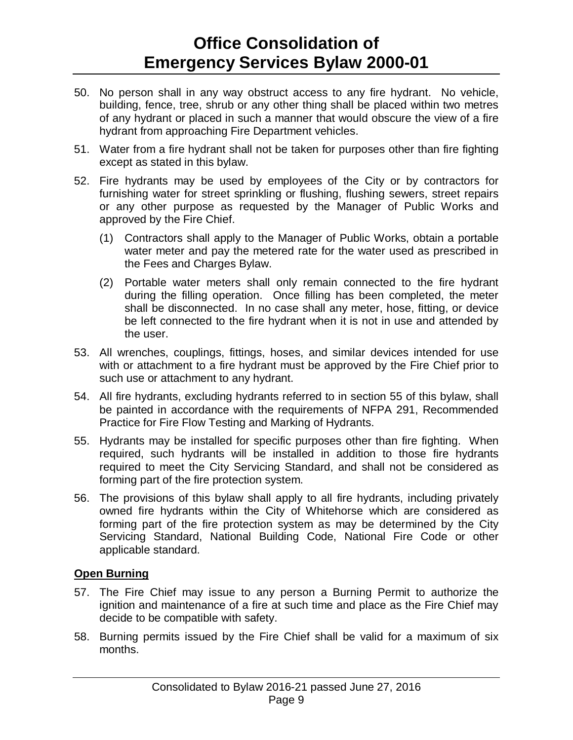- 50. No person shall in any way obstruct access to any fire hydrant. No vehicle, building, fence, tree, shrub or any other thing shall be placed within two metres of any hydrant or placed in such a manner that would obscure the view of a fire hydrant from approaching Fire Department vehicles.
- 51. Water from a fire hydrant shall not be taken for purposes other than fire fighting except as stated in this bylaw.
- 52. Fire hydrants may be used by employees of the City or by contractors for furnishing water for street sprinkling or flushing, flushing sewers, street repairs or any other purpose as requested by the Manager of Public Works and approved by the Fire Chief.
	- (1) Contractors shall apply to the Manager of Public Works, obtain a portable water meter and pay the metered rate for the water used as prescribed in the Fees and Charges Bylaw.
	- (2) Portable water meters shall only remain connected to the fire hydrant during the filling operation. Once filling has been completed, the meter shall be disconnected. In no case shall any meter, hose, fitting, or device be left connected to the fire hydrant when it is not in use and attended by the user.
- 53. All wrenches, couplings, fittings, hoses, and similar devices intended for use with or attachment to a fire hydrant must be approved by the Fire Chief prior to such use or attachment to any hydrant.
- 54. All fire hydrants, excluding hydrants referred to in section 55 of this bylaw, shall be painted in accordance with the requirements of NFPA 291, Recommended Practice for Fire Flow Testing and Marking of Hydrants.
- 55. Hydrants may be installed for specific purposes other than fire fighting. When required, such hydrants will be installed in addition to those fire hydrants required to meet the City Servicing Standard, and shall not be considered as forming part of the fire protection system.
- 56. The provisions of this bylaw shall apply to all fire hydrants, including privately owned fire hydrants within the City of Whitehorse which are considered as forming part of the fire protection system as may be determined by the City Servicing Standard, National Building Code, National Fire Code or other applicable standard.

### **Open Burning**

- 57. The Fire Chief may issue to any person a Burning Permit to authorize the ignition and maintenance of a fire at such time and place as the Fire Chief may decide to be compatible with safety.
- 58. Burning permits issued by the Fire Chief shall be valid for a maximum of six months.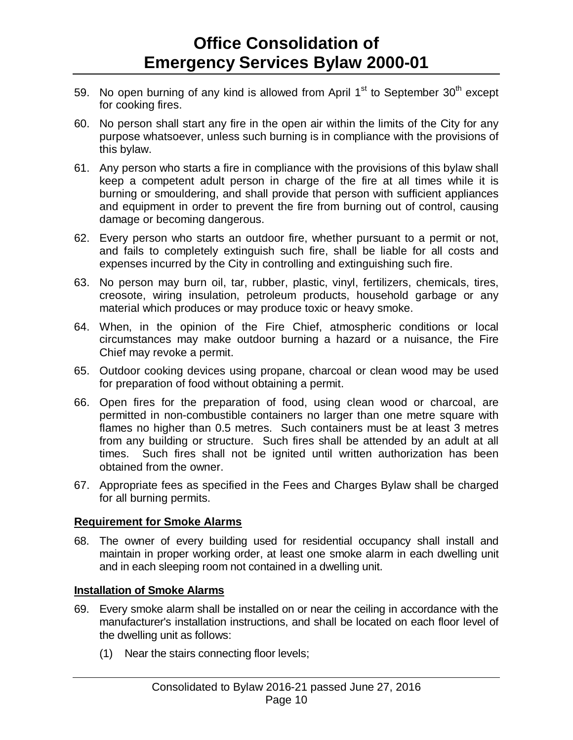- 59. No open burning of any kind is allowed from April  $1<sup>st</sup>$  to September 30<sup>th</sup> except for cooking fires.
- 60. No person shall start any fire in the open air within the limits of the City for any purpose whatsoever, unless such burning is in compliance with the provisions of this bylaw.
- 61. Any person who starts a fire in compliance with the provisions of this bylaw shall keep a competent adult person in charge of the fire at all times while it is burning or smouldering, and shall provide that person with sufficient appliances and equipment in order to prevent the fire from burning out of control, causing damage or becoming dangerous.
- 62. Every person who starts an outdoor fire, whether pursuant to a permit or not, and fails to completely extinguish such fire, shall be liable for all costs and expenses incurred by the City in controlling and extinguishing such fire.
- 63. No person may burn oil, tar, rubber, plastic, vinyl, fertilizers, chemicals, tires, creosote, wiring insulation, petroleum products, household garbage or any material which produces or may produce toxic or heavy smoke.
- 64. When, in the opinion of the Fire Chief, atmospheric conditions or local circumstances may make outdoor burning a hazard or a nuisance, the Fire Chief may revoke a permit.
- 65. Outdoor cooking devices using propane, charcoal or clean wood may be used for preparation of food without obtaining a permit.
- 66. Open fires for the preparation of food, using clean wood or charcoal, are permitted in non-combustible containers no larger than one metre square with flames no higher than 0.5 metres. Such containers must be at least 3 metres from any building or structure. Such fires shall be attended by an adult at all times. Such fires shall not be ignited until written authorization has been obtained from the owner.
- 67. Appropriate fees as specified in the Fees and Charges Bylaw shall be charged for all burning permits.

### **Requirement for Smoke Alarms**

68. The owner of every building used for residential occupancy shall install and maintain in proper working order, at least one smoke alarm in each dwelling unit and in each sleeping room not contained in a dwelling unit.

### **Installation of Smoke Alarms**

- 69. Every smoke alarm shall be installed on or near the ceiling in accordance with the manufacturer's installation instructions, and shall be located on each floor level of the dwelling unit as follows:
	- (1) Near the stairs connecting floor levels;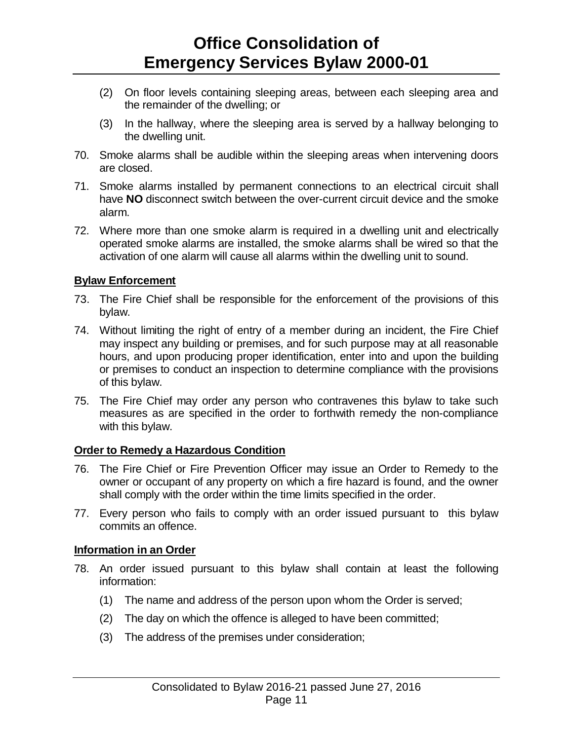- (2) On floor levels containing sleeping areas, between each sleeping area and the remainder of the dwelling; or
- (3) In the hallway, where the sleeping area is served by a hallway belonging to the dwelling unit.
- 70. Smoke alarms shall be audible within the sleeping areas when intervening doors are closed.
- 71. Smoke alarms installed by permanent connections to an electrical circuit shall have **NO** disconnect switch between the over-current circuit device and the smoke alarm.
- 72. Where more than one smoke alarm is required in a dwelling unit and electrically operated smoke alarms are installed, the smoke alarms shall be wired so that the activation of one alarm will cause all alarms within the dwelling unit to sound.

### **Bylaw Enforcement**

- 73. The Fire Chief shall be responsible for the enforcement of the provisions of this bylaw.
- 74. Without limiting the right of entry of a member during an incident, the Fire Chief may inspect any building or premises, and for such purpose may at all reasonable hours, and upon producing proper identification, enter into and upon the building or premises to conduct an inspection to determine compliance with the provisions of this bylaw.
- 75. The Fire Chief may order any person who contravenes this bylaw to take such measures as are specified in the order to forthwith remedy the non-compliance with this bylaw.

### **Order to Remedy a Hazardous Condition**

- 76. The Fire Chief or Fire Prevention Officer may issue an Order to Remedy to the owner or occupant of any property on which a fire hazard is found, and the owner shall comply with the order within the time limits specified in the order.
- 77. Every person who fails to comply with an order issued pursuant to this bylaw commits an offence.

#### **Information in an Order**

- 78. An order issued pursuant to this bylaw shall contain at least the following information:
	- (1) The name and address of the person upon whom the Order is served;
	- (2) The day on which the offence is alleged to have been committed;
	- (3) The address of the premises under consideration;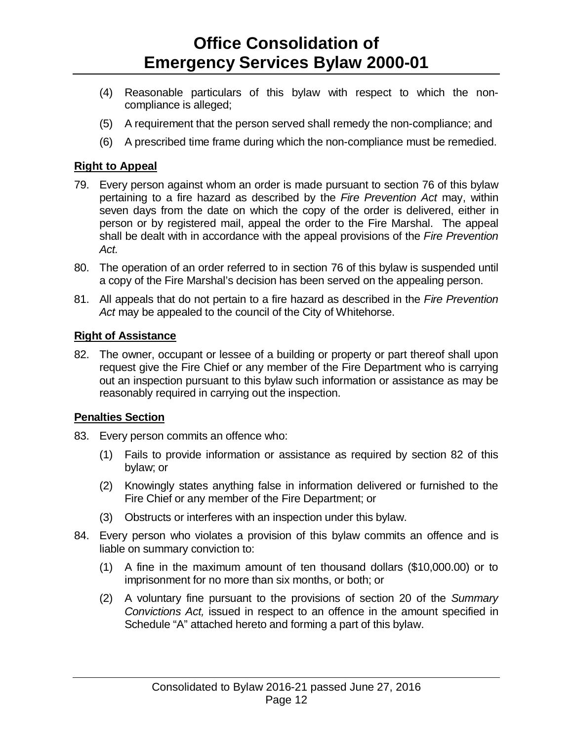- (4) Reasonable particulars of this bylaw with respect to which the noncompliance is alleged;
- (5) A requirement that the person served shall remedy the non-compliance; and
- (6) A prescribed time frame during which the non-compliance must be remedied.

### **Right to Appeal**

- 79. Every person against whom an order is made pursuant to section 76 of this bylaw pertaining to a fire hazard as described by the *Fire Prevention Act* may, within seven days from the date on which the copy of the order is delivered, either in person or by registered mail, appeal the order to the Fire Marshal. The appeal shall be dealt with in accordance with the appeal provisions of the *Fire Prevention Act.*
- 80. The operation of an order referred to in section 76 of this bylaw is suspended until a copy of the Fire Marshal's decision has been served on the appealing person.
- 81. All appeals that do not pertain to a fire hazard as described in the *Fire Prevention Act* may be appealed to the council of the City of Whitehorse.

### **Right of Assistance**

82. The owner, occupant or lessee of a building or property or part thereof shall upon request give the Fire Chief or any member of the Fire Department who is carrying out an inspection pursuant to this bylaw such information or assistance as may be reasonably required in carrying out the inspection.

### **Penalties Section**

- 83. Every person commits an offence who:
	- (1) Fails to provide information or assistance as required by section 82 of this bylaw; or
	- (2) Knowingly states anything false in information delivered or furnished to the Fire Chief or any member of the Fire Department; or
	- (3) Obstructs or interferes with an inspection under this bylaw.
- 84. Every person who violates a provision of this bylaw commits an offence and is liable on summary conviction to:
	- (1) A fine in the maximum amount of ten thousand dollars (\$10,000.00) or to imprisonment for no more than six months, or both; or
	- (2) A voluntary fine pursuant to the provisions of section 20 of the *Summary Convictions Act,* issued in respect to an offence in the amount specified in Schedule "A" attached hereto and forming a part of this bylaw.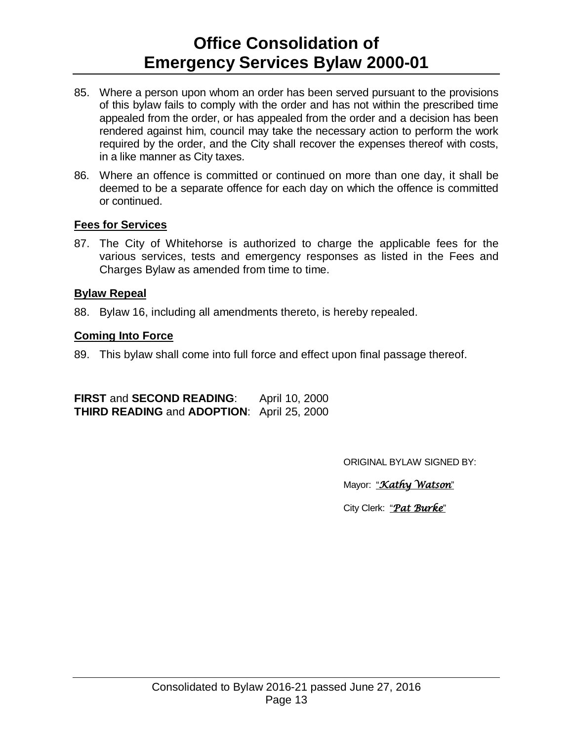- 85. Where a person upon whom an order has been served pursuant to the provisions of this bylaw fails to comply with the order and has not within the prescribed time appealed from the order, or has appealed from the order and a decision has been rendered against him, council may take the necessary action to perform the work required by the order, and the City shall recover the expenses thereof with costs, in a like manner as City taxes.
- 86. Where an offence is committed or continued on more than one day, it shall be deemed to be a separate offence for each day on which the offence is committed or continued.

#### **Fees for Services**

87. The City of Whitehorse is authorized to charge the applicable fees for the various services, tests and emergency responses as listed in the Fees and Charges Bylaw as amended from time to time.

#### **Bylaw Repeal**

88. Bylaw 16, including all amendments thereto, is hereby repealed.

#### **Coming Into Force**

89. This bylaw shall come into full force and effect upon final passage thereof.

**FIRST** and **SECOND READING**: April 10, 2000 **THIRD READING** and **ADOPTION**: April 25, 2000

ORIGINAL BYLAW SIGNED BY:

Mayor: "*Kathy Watson*"

City Clerk: "*Pat Burke*"